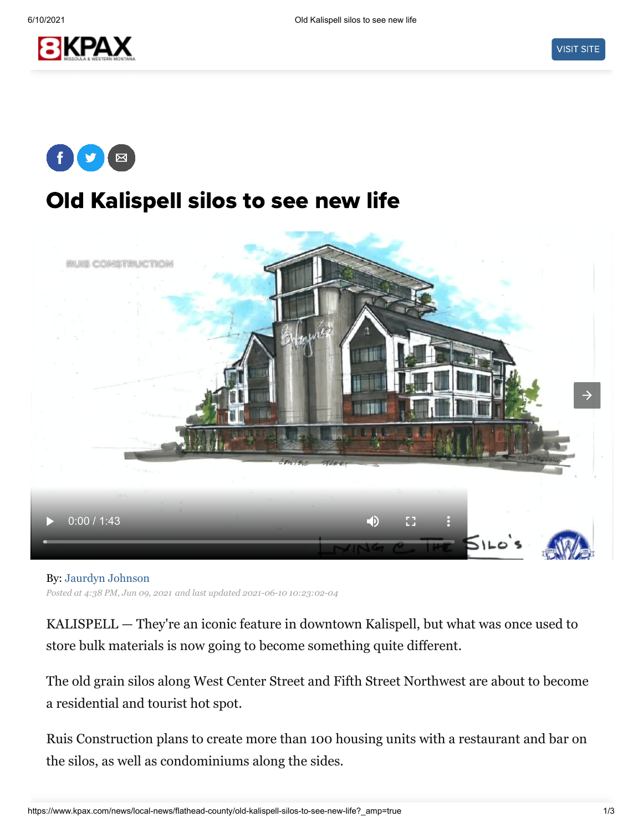



## Old Kalispell silos to see new life



By: [Jaurdyn Johnson](https://www.kpax.com/jaurdyn-johnson) *Posted at 4:38 PM, Jun 09, 2021 and last updated 2021-06-10 10:23:02-04*

KALISPELL — They're an iconic feature in downtown Kalispell, but what was once used to store bulk materials is now going to become something quite different.

The old grain silos along West Center Street and Fifth Street Northwest are about to become a residential and tourist hot spot.

Ruis Construction plans to create more than 100 housing units with a restaurant and bar on the silos, as well as condominiums along the sides.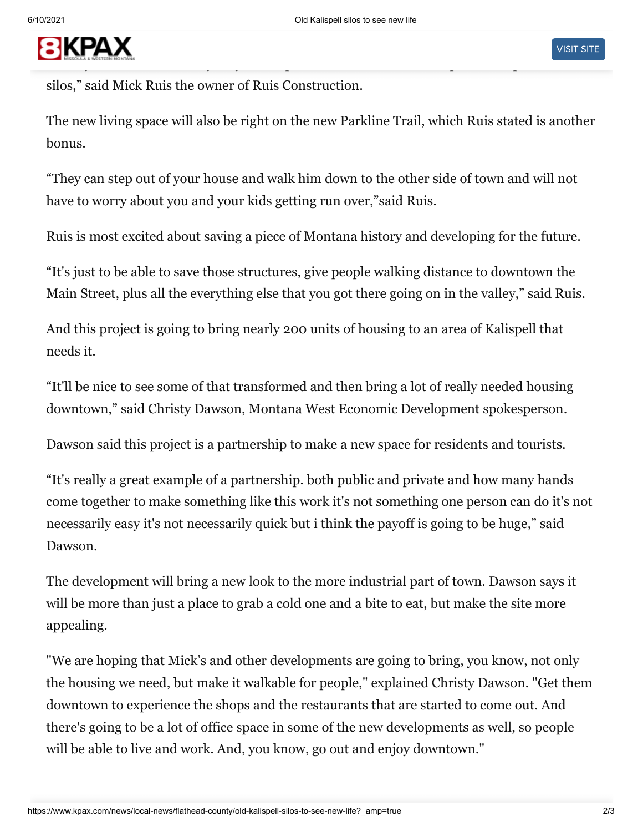## **BIKPAX** literally would be able to say they went up and had dinner or lunch up on the top of 100 footballs was the top on the top of 100 footballs was the top of 100 footballs was the top of 100 footballs was the top of 100 footba

silos," said Mick Ruis the owner of Ruis Construction.

The new living space will also be right on the new Parkline Trail, which Ruis stated is another bonus.

"They can step out of your house and walk him down to the other side of town and will not have to worry about you and your kids getting run over,"said Ruis.

Ruis is most excited about saving a piece of Montana history and developing for the future.

"It's just to be able to save those structures, give people walking distance to downtown the Main Street, plus all the everything else that you got there going on in the valley," said Ruis.

And this project is going to bring nearly 200 units of housing to an area of Kalispell that needs it.

"It'll be nice to see some of that transformed and then bring a lot of really needed housing downtown," said Christy Dawson, Montana West Economic Development spokesperson.

Dawson said this project is a partnership to make a new space for residents and tourists.

"It's really a great example of a partnership. both public and private and how many hands come together to make something like this work it's not something one person can do it's not necessarily easy it's not necessarily quick but i think the payoff is going to be huge," said Dawson.

The development will bring a new look to the more industrial part of town. Dawson says it will be more than just a place to grab a cold one and a bite to eat, but make the site more appealing.

"We are hoping that Mick's and other developments are going to bring, you know, not only the housing we need, but make it walkable for people," explained Christy Dawson. "Get them downtown to experience the shops and the restaurants that are started to come out. And there's going to be a lot of office space in some of the new developments as well, so people will be able to live and work. And, you know, go out and enjoy downtown."